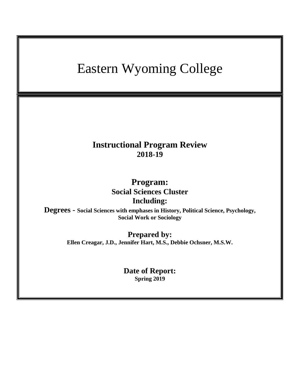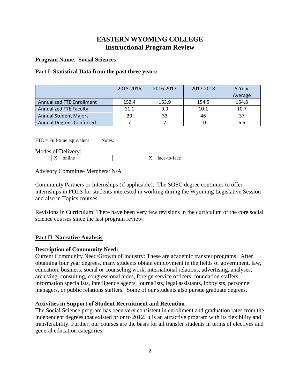# **EASTERN WYOMING COLLEGE Instructional Program Review**

**Program Name**: **Social Sciences**

### **Part I: Statistical Data from the past three years:**

|                                  | 2015-2016 | 2016-2017 | 2017-2018 | 5-Year  |
|----------------------------------|-----------|-----------|-----------|---------|
|                                  |           |           |           | Average |
| <b>Annualized FTE Enrollment</b> | 152.4     | 153.9     | 154.5     | 154.8   |
| <b>Annualized FTE Faculty</b>    | 11.1      | 9.9       | 10.1      | 10.7    |
| <b>Annual Student Majors</b>     | 29        | 33        | 46        | -37     |
| <b>Annual Degrees Conferred</b>  |           |           | 10        | 6.6     |

 $\text{FTE} = \text{Full-time equivalent}$  Notes:

Modes of Delivery:

 $\boxed{X}$  online  $\boxed{X}$  face-to-face

Advisory Committee Members: N/A

Community Partners or Internships (if applicable): The SOSC degree continues to offer internships in POLS for students interested in working during the Wyoming Legislative Session and also in Topics courses.

Revisions in Curriculum: There have been very few revisions in the curriculum of the core social science courses since the last program review.

## **Part II Narrative Analysis**

## **Description of Community Need:**

Current Community Need/Growth of Industry: These are academic transfer programs. After obtaining four year degrees, many students obtain employment in the fields of government, law, education, business, social or counseling work, international relations, advertising, analyses, archiving, consulting, congressional aides, foreign service officers, foundation staffers, information specialists, intelligence agents, journalists, legal assistants, lobbyists, personnel managers, or public relations staffers. Some of our students also pursue graduate degrees.

## **Activities in Support of Student Recruitment and Retention**

The Social Science program has been very consistent in enrollment and graduation rates from the independent degrees that existed prior to 2012. It is an attractive program with its flexibility and transferability. Further, our courses are the basis for all transfer students in terms of electives and general education categories.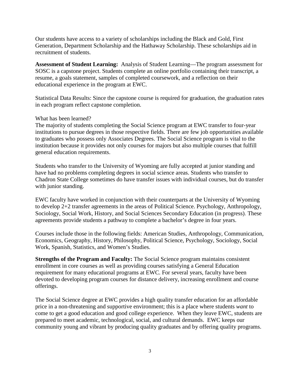Our students have access to a variety of scholarships including the Black and Gold, First Generation, Department Scholarship and the Hathaway Scholarship. These scholarships aid in recruitment of students.

**Assessment of Student Learning:** Analysis of Student Learning—The program assessment for SOSC is a capstone project. Students complete an online portfolio containing their transcript, a resume, a goals statement, samples of completed coursework, and a reflection on their educational experience in the program at EWC.

Statistical Data Results: Since the capstone course is required for graduation, the graduation rates in each program reflect capstone completion.

#### What has been learned?

The majority of students completing the Social Science program at EWC transfer to four-year institutions to pursue degrees in those respective fields. There are few job opportunities available to graduates who possess only Associates Degrees. The Social Science program is vital to the institution because it provides not only courses for majors but also multiple courses that fulfill general education requirements.

Students who transfer to the University of Wyoming are fully accepted at junior standing and have had no problems completing degrees in social science areas. Students who transfer to Chadron State College sometimes do have transfer issues with individual courses, but do transfer with junior standing.

EWC faculty have worked in conjunction with their counterparts at the University of Wyoming to develop 2+2 transfer agreements in the areas of Political Science. Psychology, Anthropology, Sociology, Social Work, History, and Social Sciences Secondary Education (in progress). These agreements provide students a pathway to complete a bachelor's degree in four years.

Courses include those in the following fields: American Studies, Anthropology, Communication, Economics, Geography, History, Philosophy, Political Science, Psychology, Sociology, Social Work, Spanish, Statistics, and Women's Studies.

**Strengths of the Program and Faculty:** The Social Science program maintains consistent enrollment in core courses as well as providing courses satisfying a General Education requirement for many educational programs at EWC. For several years, faculty have been devoted to developing program courses for distance delivery, increasing enrollment and course offerings.

The Social Science degree at EWC provides a high quality transfer education for an affordable price in a non-threatening and supportive environment; this is a place where students *want* to come to get a good education and good college experience. When they leave EWC, students are prepared to meet academic, technological, social, and cultural demands. EWC keeps our community young and vibrant by producing quality graduates and by offering quality programs.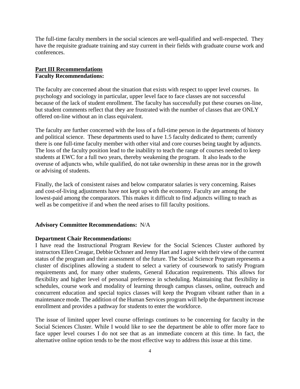The full-time faculty members in the social sciences are well-qualified and well-respected. They have the requisite graduate training and stay current in their fields with graduate course work and conferences.

#### **Part III Recommendations Faculty Recommendations:**

The faculty are concerned about the situation that exists with respect to upper level courses. In psychology and sociology in particular, upper level face to face classes are not successful because of the lack of student enrollment. The faculty has successfully put these courses on-line, but student comments reflect that they are frustrated with the number of classes that are ONLY offered on-line without an in class equivalent.

The faculty are further concerned with the loss of a full-time person in the departments of history and political science. These departments used to have 1.5 faculty dedicated to them; currently there is one full-time faculty member with other vital and core courses being taught by adjuncts. The loss of the faculty position lead to the inability to teach the range of courses needed to keep students at EWC for a full two years, thereby weakening the program. It also leads to the overuse of adjuncts who, while qualified, do not take ownership in these areas nor in the growth or advising of students.

Finally, the lack of consistent raises and below comparator salaries is very concerning. Raises and cost-of-living adjustments have not kept up with the economy. Faculty are among the lowest-paid among the comparators. This makes it difficult to find adjuncts willing to teach as well as be competitive if and when the need arises to fill faculty positions.

#### **Advisory Committee Recommendations:** N/A

#### **Department Chair Recommendations:**

I have read the Instructional Program Review for the Social Sciences Cluster authored by instructors Ellen Creagar, Debbie Ochsner and Jenny Hart and I agree with their view of the current status of the program and their assessment of the future. The Social Science Program represents a cluster of disciplines allowing a student to select a variety of coursework to satisfy Program requirements and, for many other students, General Education requirements. This allows for flexibility and higher level of personal preference in scheduling. Maintaining that flexibility in schedules, course work and modality of learning through campus classes, online, outreach and concurrent education and special topics classes will keep the Program vibrant rather than in a maintenance mode. The addition of the Human Services program will help the department increase enrollment and provides a pathway for students to enter the workforce.

The issue of limited upper level course offerings continues to be concerning for faculty in the Social Sciences Cluster. While I would like to see the department be able to offer more face to face upper level courses I do not see that as an immediate concern at this time. In fact, the alternative online option tends to be the most effective way to address this issue at this time.